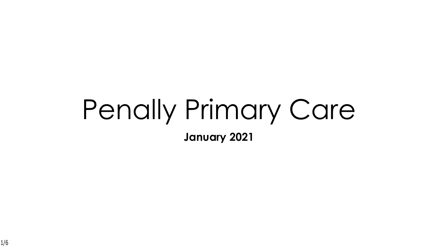# Penally Primary Care

**January 2021**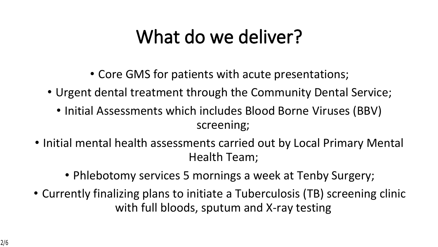### **What do we deliver?**

- Core GMS for patients with acute presentations;
- Urgent dental treatment through the Community Dental Service;
	- Initial Assessments which includes Blood Borne Viruses (BBV) screening;
- Initial mental health assessments carried out by Local Primary Mental Health Team;
	- Phlebotomy services 5 mornings a week at Tenby Surgery;
- Currently finalizing plans to initiate a Tuberculosis (TB) screening clinic with full bloods, sputum and X-ray testing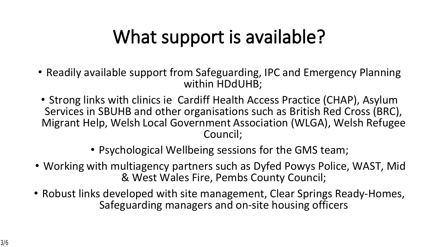## **What support is available?**

- Readily available support from Safeguarding, IPC and Emergency Planning within HDdUHB;
- Strong links with clinics ie Cardiff Health Access Practice (CHAP), Asylum Services in SBUHB and other organisations such as British Red Cross (BRC), Migrant Help, Welsh Local Government Association (WLGA), Welsh Refugee Council;
	- Psychological Wellbeing sessions for the GMS team;
- Working with multiagency partners such as Dyfed Powys Police, WAST, Mid & West Wales Fire, Pembs County Council;
- Robust links developed with site management, Clear Springs Ready-Homes, Safeguarding managers and on-site housing officers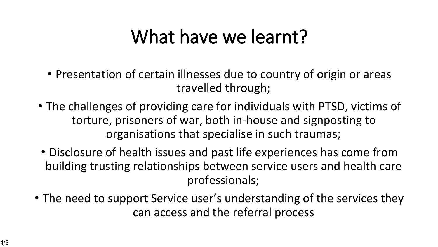#### **What have we learnt?**

- Presentation of certain illnesses due to country of origin or areas travelled through;
- The challenges of providing care for individuals with PTSD, victims of torture, prisoners of war, both in-house and signposting to organisations that specialise in such traumas;
- Disclosure of health issues and past life experiences has come from building trusting relationships between service users and health care professionals;
- The need to support Service user's understanding of the services they can access and the referral process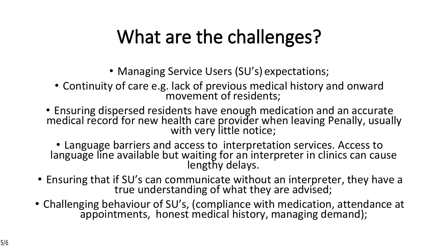## **What are the challenges?**

- Managing Service Users (SU's) expectations;
- Continuity of care e.g. lack of previous medical history and onward movement of residents;
- Ensuring dispersed residents have enough medication and an accurate medical record for new health care provider when leaving Penally, usually with very little notice;

• Language barriers and access to interpretation services. Access to language line available but waiting for an interpreter in clinics can cause lengthy delays.

- Ensuring that if SU's can communicate without an interpreter, they have a true understanding of what they are advised;
- Challenging behaviour of SU's, (compliance with medication, attendance at appointments, honest medical history, managing demand);